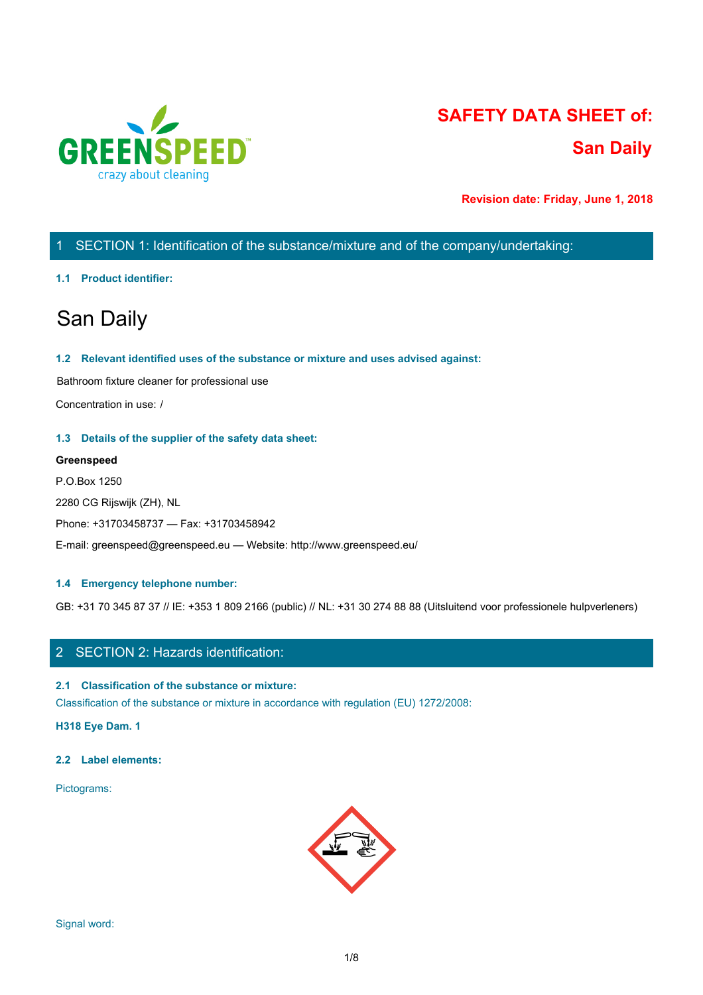

# **SAFETY DATA SHEET of: San Daily**

**Revision date: Friday, June 1, 2018**

# 1 SECTION 1: Identification of the substance/mixture and of the company/undertaking:

#### **1.1 Product identifier:**

# San Daily

#### **1.2 Relevant identified uses of the substance or mixture and uses advised against:**

Bathroom fixture cleaner for professional use

Concentration in use: /

#### **1.3 Details of the supplier of the safety data sheet:**

#### **Greenspeed**

P.O.Box 1250 2280 CG Rijswijk (ZH), NL Phone: +31703458737 — Fax: +31703458942 E-mail: greenspeed@greenspeed.eu — Website: http://www.greenspeed.eu/

#### **1.4 Emergency telephone number:**

GB: +31 70 345 87 37 // IE: +353 1 809 2166 (public) // NL: +31 30 274 88 88 (Uitsluitend voor professionele hulpverleners)

## 2 SECTION 2: Hazards identification:

#### **2.1 Classification of the substance or mixture:**

Classification of the substance or mixture in accordance with regulation (EU) 1272/2008:

**H318 Eye Dam. 1**

#### **2.2 Label elements:**

Pictograms:

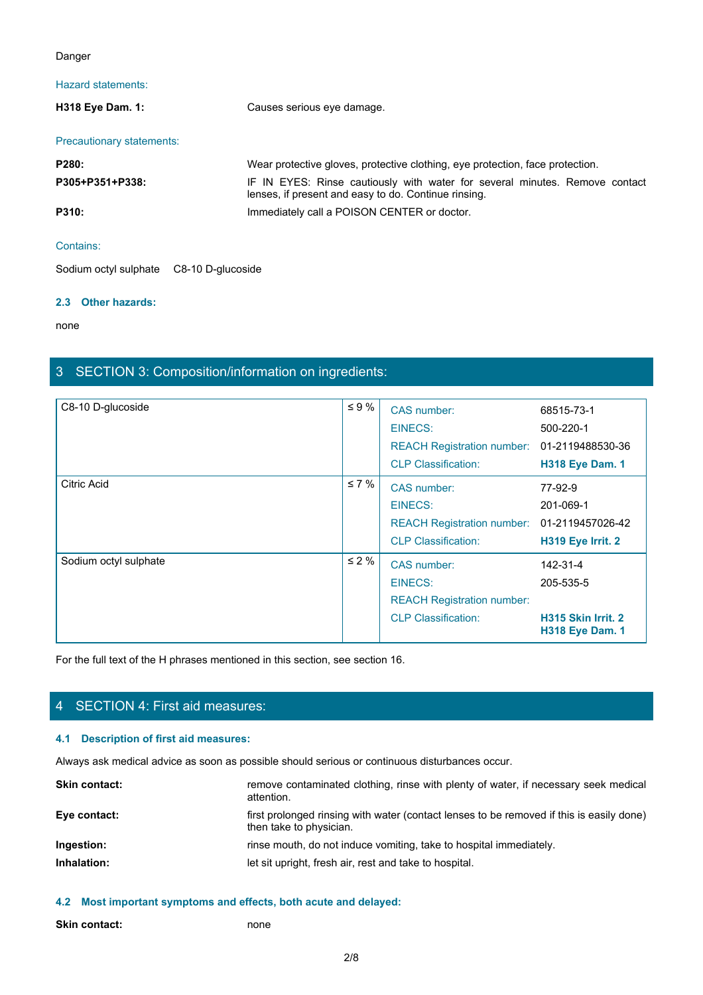#### Danger

# Hazard statements:

| Danger                                  |                                                                                                                                     |  |
|-----------------------------------------|-------------------------------------------------------------------------------------------------------------------------------------|--|
| Hazard statements:                      |                                                                                                                                     |  |
| H318 Eye Dam. 1:                        | Causes serious eye damage.                                                                                                          |  |
| Precautionary statements:               |                                                                                                                                     |  |
| P280:                                   | Wear protective gloves, protective clothing, eye protection, face protection.                                                       |  |
| P305+P351+P338:                         | IF IN EYES: Rinse cautiously with water for several minutes. Remove contact<br>lenses, if present and easy to do. Continue rinsing. |  |
| P310:                                   | Immediately call a POISON CENTER or doctor.                                                                                         |  |
| Contains:                               |                                                                                                                                     |  |
| Sodium octyl sulphate C8-10 D-glucoside |                                                                                                                                     |  |

### Contains:

Sodium octyl sulphate C8-10 D-glucoside

#### **2.3 Other hazards:**

none and the state of the state of the state of the state of the state of the state of the state of the state of the state of the state of the state of the state of the state of the state of the state of the state of the s

# 3 SECTION 3: Composition/information on ingredients:

| C8-10 D-glucoside     | $\leq 9\%$ | CAS number:<br>EINECS:<br>REACH Registration number: 01-2119488530-36<br><b>CLP Classification:</b> | 68515-73-1<br>500-220-1<br><b>H318 Eye Dam. 1</b>                     |
|-----------------------|------------|-----------------------------------------------------------------------------------------------------|-----------------------------------------------------------------------|
| <b>Citric Acid</b>    | $\leq 7\%$ | CAS number:<br>EINECS:<br>REACH Registration number: 01-2119457026-42<br><b>CLP Classification:</b> | 77-92-9<br>201-069-1<br>H319 Eye Irrit. 2                             |
| Sodium octyl sulphate | $\leq 2\%$ | CAS number:<br>EINECS:<br><b>REACH Registration number:</b><br><b>CLP Classification:</b>           | 142-31-4<br>205-535-5<br>H315 Skin Irrit. 2<br><b>H318 Eye Dam. 1</b> |

For the full text of the H phrases mentioned in this section, see section 16.

# 4 SECTION 4: First aid measures:

#### **4.1 Description of first aid measures:**

Always ask medical advice as soon as possible should serious or continuous disturbances occur.

| <b>Skin contact:</b> | remove contaminated clothing, rinse with plenty of water, if necessary seek medical<br>attention.                   |
|----------------------|---------------------------------------------------------------------------------------------------------------------|
| Eye contact:         | first prolonged rinsing with water (contact lenses to be removed if this is easily done)<br>then take to physician. |
| Ingestion:           | rinse mouth, do not induce vomiting, take to hospital immediately.                                                  |
| Inhalation:          | let sit upright, fresh air, rest and take to hospital.                                                              |
|                      |                                                                                                                     |

**4.2 Most important symptoms and effects, both acute and delayed:**

**Skin contact:** none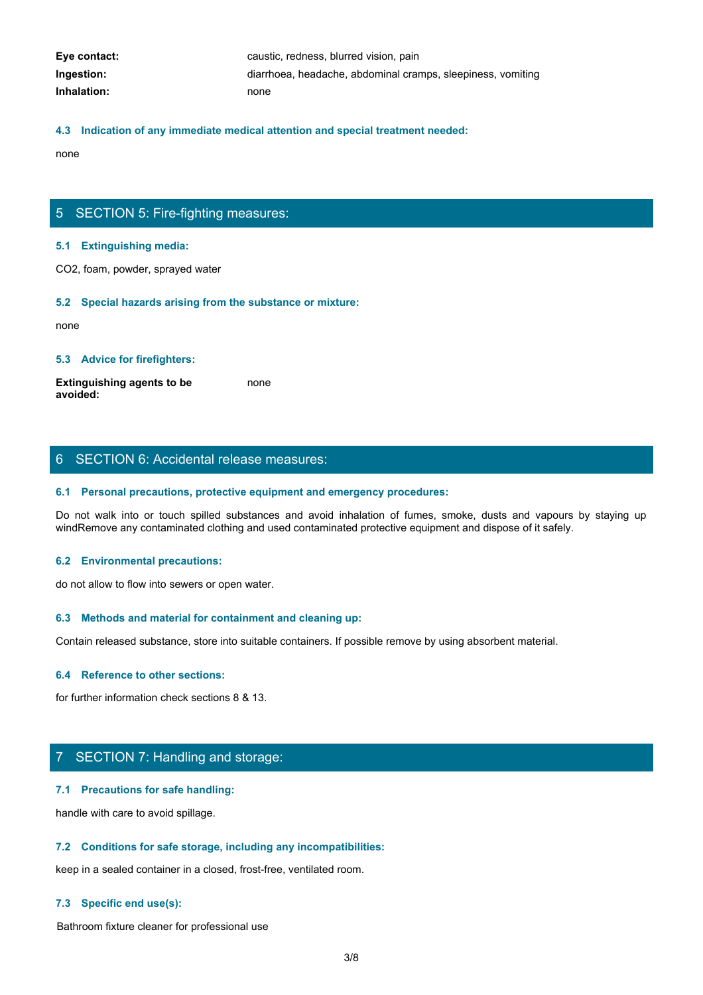| Eye contact: | caustic, redness, blurred vision, pain                      |
|--------------|-------------------------------------------------------------|
| Ingestion:   | diarrhoea, headache, abdominal cramps, sleepiness, vomiting |
| Inhalation:  | none                                                        |

#### **4.3 Indication of any immediate medical attention and special treatment needed:**

none and the state of the state of the state of the state of the state of the state of the state of the state of the state of the state of the state of the state of the state of the state of the state of the state of the s

## 5 SECTION 5: Fire-fighting measures:

#### **5.1 Extinguishing media:**

CO2, foam, powder, sprayed water

#### **5.2 Special hazards arising from the substance or mixture:**

none and the state of the state of the state of the state of the state of the state of the state of the state of the state of the state of the state of the state of the state of the state of the state of the state of the s

#### **5.3 Advice for firefighters:**

**Extinguishing agents to be avoided:** none and the state of the state of the state of the state of the state of the state of the state of the state of the state of the state of the state of the state of the state of the state of the state of the state of the s

### 6 SECTION 6: Accidental release measures:

#### **6.1 Personal precautions, protective equipment and emergency procedures:**

Donce<br>
S. S. Extinguishing media:<br>
CO2, foam, powder, sprayed water<br>
S. S. Special hazards arising from the substance or mixture:<br>
Extinguishing agents to be<br>
worlded:<br>
S. Advice for firefighters:<br>
S. Personal precautions, windRemove any contaminated clothing and used contaminated protective equipment and dispose of it safely.

#### **6.2 Environmental precautions:**

do not allow to flow into sewers or open water.

#### **6.3 Methods and material for containment and cleaning up:**

Contain released substance, store into suitable containers. If possible remove by using absorbent material.

#### **6.4 Reference to other sections:**

for further information check sections 8 & 13.

# 7 SECTION 7: Handling and storage:

#### **7.1 Precautions for safe handling:**

handle with care to avoid spillage.

#### **7.2 Conditions for safe storage, including any incompatibilities:**

keep in a sealed container in a closed, frost-free, ventilated room.

#### **7.3 Specific end use(s):**

Bathroom fixture cleaner for professional use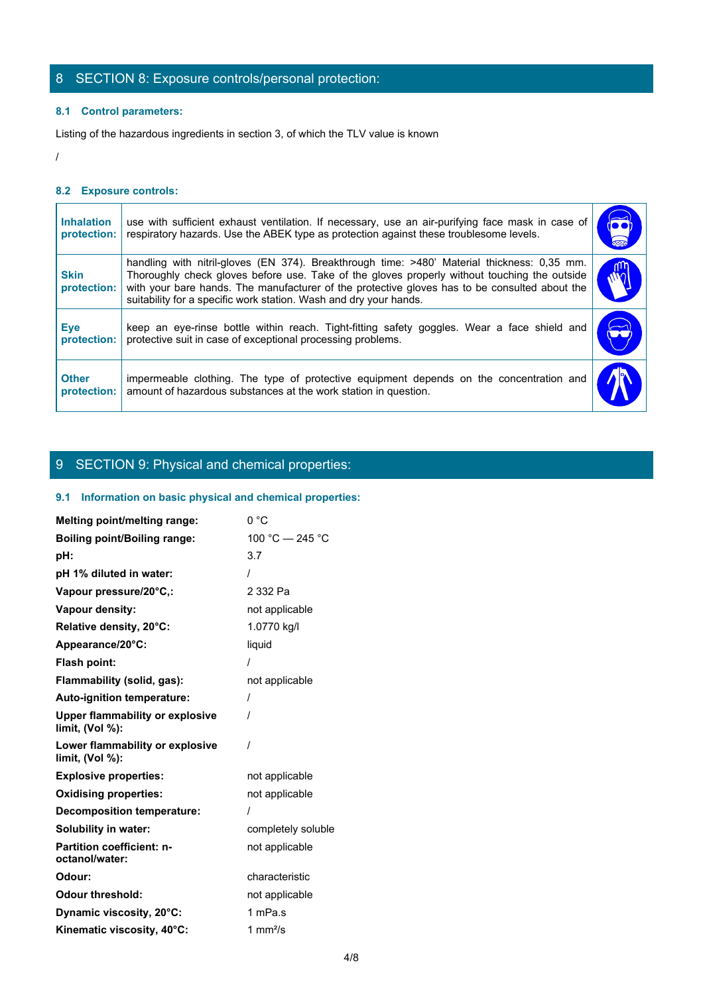# 8 SECTION 8: Exposure controls/personal protection:

### **8.1 Control parameters:**

### **8.2 Exposure controls:**

|                                  | 8 SECTION 8: Exposure controls/personal protection:                                                                                                                                                                                                                                                                                                               |                             |
|----------------------------------|-------------------------------------------------------------------------------------------------------------------------------------------------------------------------------------------------------------------------------------------------------------------------------------------------------------------------------------------------------------------|-----------------------------|
| 8.1 Control parameters:          |                                                                                                                                                                                                                                                                                                                                                                   |                             |
|                                  | Listing of the hazardous ingredients in section 3, of which the TLV value is known                                                                                                                                                                                                                                                                                |                             |
|                                  |                                                                                                                                                                                                                                                                                                                                                                   |                             |
| 8.2 Exposure controls:           |                                                                                                                                                                                                                                                                                                                                                                   |                             |
| <b>Inhalation</b><br>protection: | use with sufficient exhaust ventilation. If necessary, use an air-purifying face mask in case of<br>respiratory hazards. Use the ABEK type as protection against these troublesome levels.                                                                                                                                                                        | $\overline{\bullet\bullet}$ |
| <b>Skin</b><br>protection:       | handling with nitril-gloves (EN 374). Breakthrough time: >480' Material thickness: 0,35 mm.<br>Thoroughly check gloves before use. Take of the gloves properly without touching the outside<br>with your bare hands. The manufacturer of the protective gloves has to be consulted about the<br>suitability for a specific work station. Wash and dry your hands. | rη<br>$\tilde{w}$           |
| <b>Eye</b><br>protection:        | keep an eye-rinse bottle within reach. Tight-fitting safety goggles. Wear a face shield and<br>protective suit in case of exceptional processing problems.                                                                                                                                                                                                        |                             |
|                                  | impermeable clothing. The type of protective equipment depends on the concentration and                                                                                                                                                                                                                                                                           |                             |

# 9 SECTION 9: Physical and chemical properties:

### **9.1 Information on basic physical and chemical properties:**

| Melting point/melting range:                              | 0 °C               |
|-----------------------------------------------------------|--------------------|
| <b>Boiling point/Boiling range:</b>                       | 100 °C - 245 °C    |
| pH:                                                       | 3.7                |
| pH 1% diluted in water:                                   |                    |
| Vapour pressure/20°C,:                                    | 2 332 Pa           |
| Vapour density:                                           | not applicable     |
| Relative density, 20°C:                                   | 1.0770 kg/l        |
| Appearance/20°C:                                          | liquid             |
| Flash point:                                              |                    |
| Flammability (solid, gas):                                | not applicable     |
| Auto-ignition temperature:                                |                    |
| <b>Upper flammability or explosive</b><br>limit, (Vol %): |                    |
| Lower flammability or explosive<br>limit, (Vol %):        |                    |
| <b>Explosive properties:</b>                              | not applicable     |
| <b>Oxidising properties:</b>                              | not applicable     |
| <b>Decomposition temperature:</b>                         |                    |
| Solubility in water:                                      | completely soluble |
| <b>Partition coefficient: n-</b><br>octanol/water:        | not applicable     |
| Odour:                                                    | characteristic     |
| <b>Odour threshold:</b>                                   | not applicable     |
| Dynamic viscosity, 20°C:                                  | 1 mPa.s            |
| Kinematic viscosity, 40°C:                                | 1 mm $^{2}/s$      |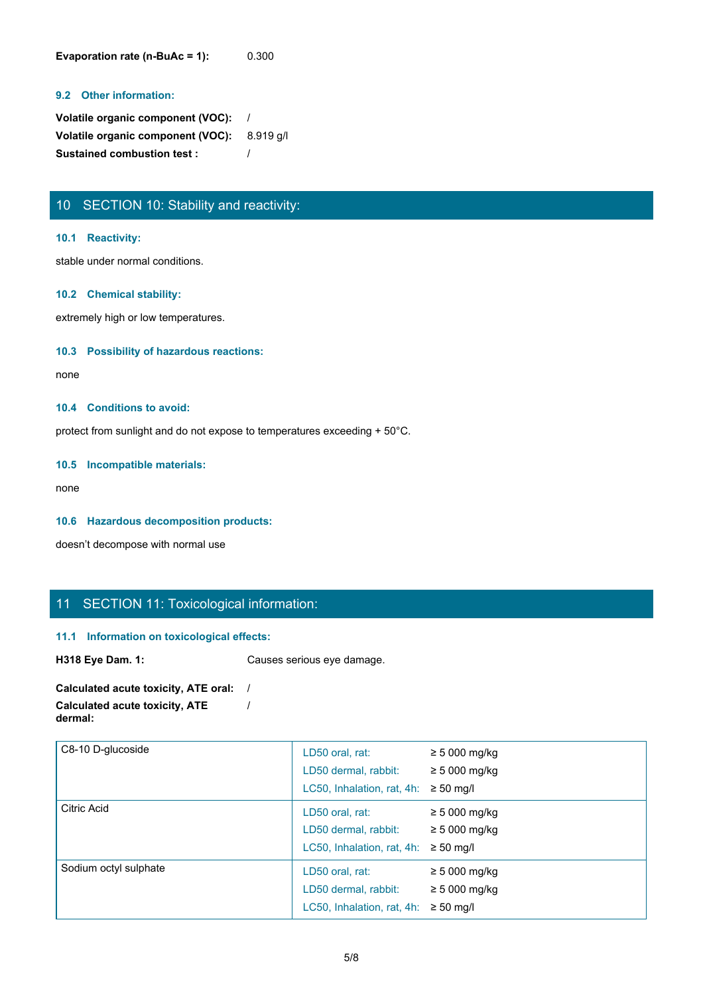**Evaporation rate (n-BuAc = 1):** 0.300

#### **9.2 Other information:**

**Volatile organic component (VOC):** / **Volatile organic component (VOC):** 8.919 g/l **Sustained combustion test :** /

# 10 SECTION 10: Stability and reactivity:

#### **10.1 Reactivity:**

stable under normal conditions.

#### **10.2 Chemical stability:**

extremely high or low temperatures.

#### **10.3 Possibility of hazardous reactions:**

none and the state of the state of the state of the state of the state of the state of the state of the state of the state of the state of the state of the state of the state of the state of the state of the state of the s

#### **10.4 Conditions to avoid:**

protect from sunlight and do not expose to temperatures exceeding + 50°C.

#### **10.5 Incompatible materials:**

none and the state of the state of the state of the state of the state of the state of the state of the state of the state of the state of the state of the state of the state of the state of the state of the state of the s

#### **10.6 Hazardous decomposition products:**

doesn't decompose with normal use

# 11 SECTION 11: Toxicological information:

#### **11.1 Information on toxicological effects:**

**H318 Eye Dam. 1:** Causes serious eye damage.

#### **Calculated acute toxicity, ATE oral:** / **Calculated acute toxicity, ATE dermal:** /

| C8-10 D-glucoside     | LD50 oral, rat:<br>LD50 dermal, rabbit:<br>LC50, Inhalation, rat, 4h: | $\geq$ 5 000 mg/kg<br>$\geq 5000$ mg/kg<br>$\geq 50$ mg/l  |
|-----------------------|-----------------------------------------------------------------------|------------------------------------------------------------|
| Citric Acid           | LD50 oral, rat:<br>LD50 dermal, rabbit:<br>LC50, Inhalation, rat, 4h: | $\geq$ 5 000 mg/kg<br>$\geq$ 5 000 mg/kg<br>$\geq 50$ mg/l |
| Sodium octyl sulphate | LD50 oral, rat:<br>LD50 dermal, rabbit:<br>LC50, Inhalation, rat, 4h: | $\geq$ 5 000 mg/kg<br>$\geq$ 5 000 mg/kg<br>$\geq 50$ mg/l |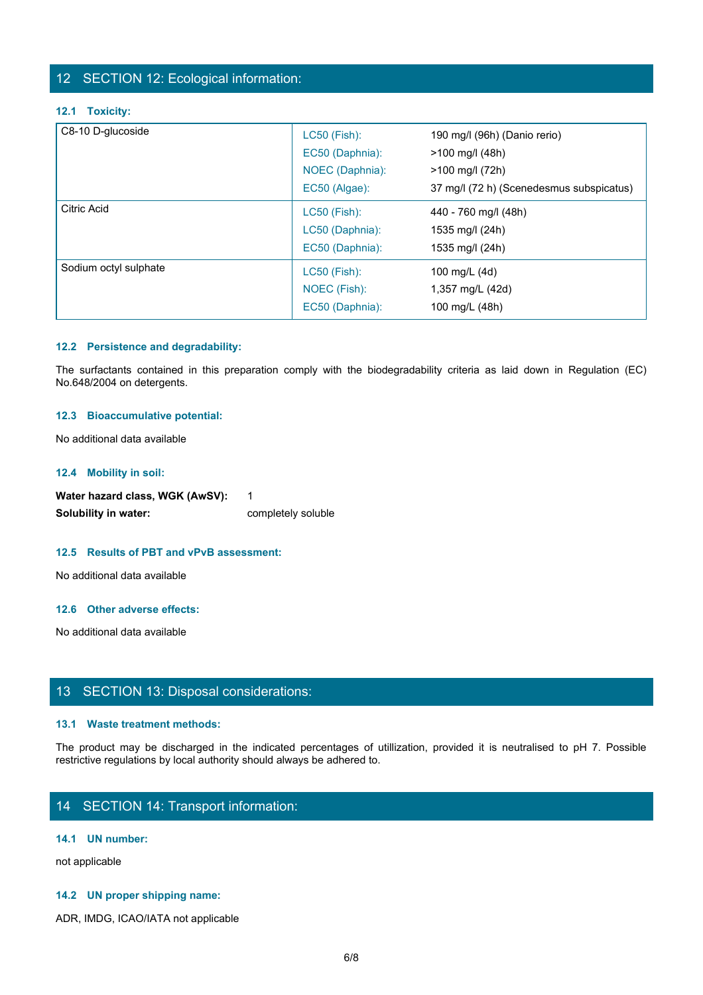## 12 SECTION 12: Ecological information:

#### **12.1 Toxicity:**

| C8-10 D-glucoside     |                 |                                          |
|-----------------------|-----------------|------------------------------------------|
|                       | LC50 (Fish):    | 190 mg/l (96h) (Danio rerio)             |
|                       | EC50 (Daphnia): | >100 mg/l (48h)                          |
|                       | NOEC (Daphnia): | >100 mg/l (72h)                          |
|                       | EC50 (Algae):   | 37 mg/l (72 h) (Scenedesmus subspicatus) |
| <b>Citric Acid</b>    | LC50 (Fish):    | 440 - 760 mg/l (48h)                     |
|                       | LC50 (Daphnia): | 1535 mg/l (24h)                          |
|                       | EC50 (Daphnia): | 1535 mg/l (24h)                          |
| Sodium octyl sulphate | LC50 (Fish):    | 100 mg/L (4d)                            |
|                       | NOEC (Fish):    | 1,357 mg/L (42d)                         |
|                       | EC50 (Daphnia): | 100 mg/L (48h)                           |

#### **12.2 Persistence and degradability:**

#### **12.3 Bioaccumulative potential:**

#### **12.4 Mobility in soil:**

Water hazard class, WGK (AwSV): 1 **Solubility in water:** completely soluble

#### **12.5 Results of PBT and vPvB assessment:**

No additional data available

#### **12.6 Other adverse effects:**

No additional data available

# 13 SECTION 13: Disposal considerations:

#### **13.1 Waste treatment methods:**

The product may be discharged in the indicated percentages of utilization of the indicated be discharged in the indicated percentages of utilization of the indicated percentages of utilization, provided it is neutralised t restrictive regulations by local authority should always be adhered to.

# 14 SECTION 14: Transport information:

#### **14.1 UN number:**

not applicable

#### **14.2 UN proper shipping name:**

ADR, IMDG, ICAO/IATA not applicable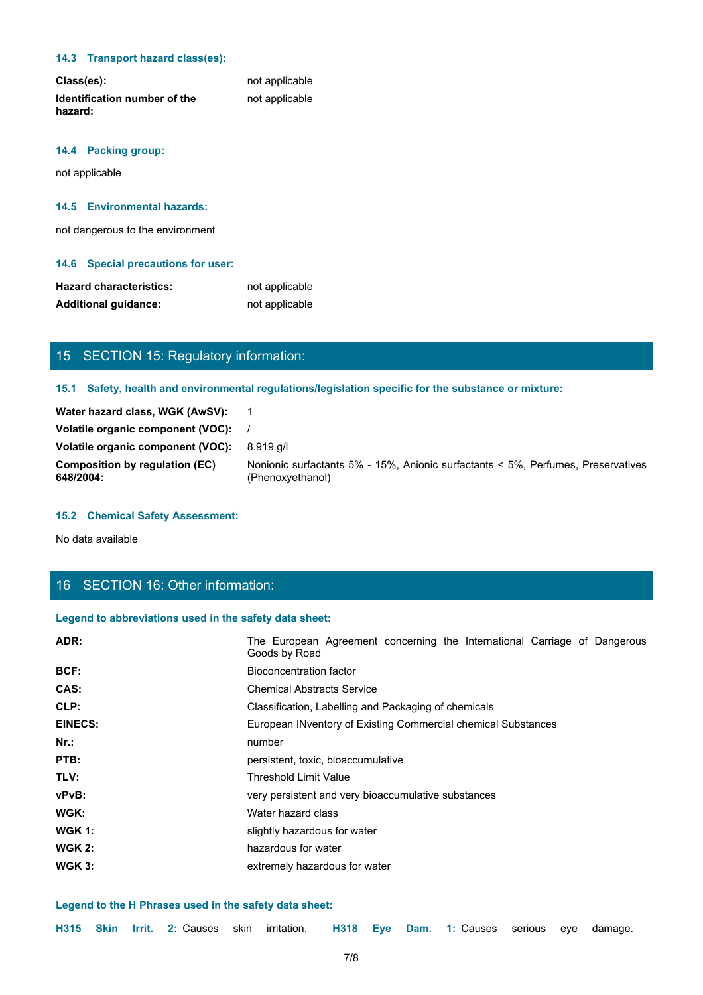#### **14.3 Transport hazard class(es):**

| Class(es):                              | not applicable |
|-----------------------------------------|----------------|
| Identification number of the<br>hazard: | not applicable |

### **14.4 Packing group:**

not applicable

#### **14.5 Environmental hazards:**

not dangerous to the environment

#### **14.6 Special precautions for user:**

| <b>Hazard characteristics:</b> | not applicable |
|--------------------------------|----------------|
| <b>Additional quidance:</b>    | not applicable |

# 15 SECTION 15: Regulatory information:

#### **15.1 Safety, health and environmental regulations/legislation specific for the substance or mixture:**

| Water hazard class, WGK (AwSV):                    |                                                                                                      |
|----------------------------------------------------|------------------------------------------------------------------------------------------------------|
| Volatile organic component (VOC):                  |                                                                                                      |
| Volatile organic component (VOC):                  | 8.919 a/l                                                                                            |
| <b>Composition by regulation (EC)</b><br>648/2004: | Nonionic surfactants 5% - 15%, Anionic surfactants < 5%, Perfumes, Preservatives<br>(Phenoxyethanol) |

# **15.2 Chemical Safety Assessment:**

# 16 SECTION 16: Other information:

### **Legend to abbreviations used in the safety data sheet:**

| <b>Hazard characteristics:</b>                         | not applicable                                                                                       |
|--------------------------------------------------------|------------------------------------------------------------------------------------------------------|
| <b>Additional guidance:</b>                            | not applicable                                                                                       |
|                                                        |                                                                                                      |
|                                                        |                                                                                                      |
| 15 SECTION 15: Regulatory information:                 |                                                                                                      |
|                                                        | 15.1 Safety, health and environmental regulations/legislation specific for the substance or mixture: |
| Water hazard class, WGK (AwSV):                        | - 1                                                                                                  |
| Volatile organic component (VOC):                      |                                                                                                      |
| Volatile organic component (VOC):                      | 8.919 g/l                                                                                            |
| <b>Composition by regulation (EC)</b><br>648/2004:     | Nonionic surfactants 5% - 15%, Anionic surfactants < 5%, Perfumes, Preservatives<br>(Phenoxyethanol) |
| <b>15.2 Chemical Safety Assessment:</b>                |                                                                                                      |
| No data available                                      |                                                                                                      |
|                                                        |                                                                                                      |
| 16 SECTION 16: Other information:                      |                                                                                                      |
| Legend to abbreviations used in the safety data sheet: |                                                                                                      |
|                                                        |                                                                                                      |
| ADR:                                                   | The European Agreement concerning the International Carriage of Dangerous<br>Goods by Road           |
| BCF:                                                   | <b>Bioconcentration factor</b>                                                                       |
| CAS:                                                   | <b>Chemical Abstracts Service</b>                                                                    |
| CLP:                                                   | Classification, Labelling and Packaging of chemicals                                                 |
| <b>EINECS:</b>                                         | European INventory of Existing Commercial chemical Substances                                        |
| $Nr.$ :                                                | number                                                                                               |
| PTB:                                                   | persistent, toxic, bioaccumulative                                                                   |
| TLV:                                                   | <b>Threshold Limit Value</b>                                                                         |
| vPvB:                                                  | very persistent and very bioaccumulative substances                                                  |
| WGK:                                                   | Water hazard class                                                                                   |
| <b>WGK 1:</b>                                          | slightly hazardous for water                                                                         |
| <b>WGK 2:</b>                                          | hazardous for water                                                                                  |
| <b>WGK 3:</b>                                          | extremely hazardous for water                                                                        |
|                                                        |                                                                                                      |
| Legend to the H Phrases used in the safety data sheet: |                                                                                                      |
| Skin Irrit. 2: Causes skin<br>H315                     | H318<br>Dam. 1: Causes serious eye damage.<br>irritation.<br>Eye                                     |
|                                                        | 7/8                                                                                                  |
|                                                        |                                                                                                      |
|                                                        |                                                                                                      |
|                                                        |                                                                                                      |

#### **Legend to the H Phrases used in the safety data sheet:**

|  |  |  | H315 Skin Irrit. 2: Causes skin irritation. H318 Eye Dam. 1: Causes serious eye damage. |  |  |  |  |  |  |  |  |  |
|--|--|--|-----------------------------------------------------------------------------------------|--|--|--|--|--|--|--|--|--|
|--|--|--|-----------------------------------------------------------------------------------------|--|--|--|--|--|--|--|--|--|